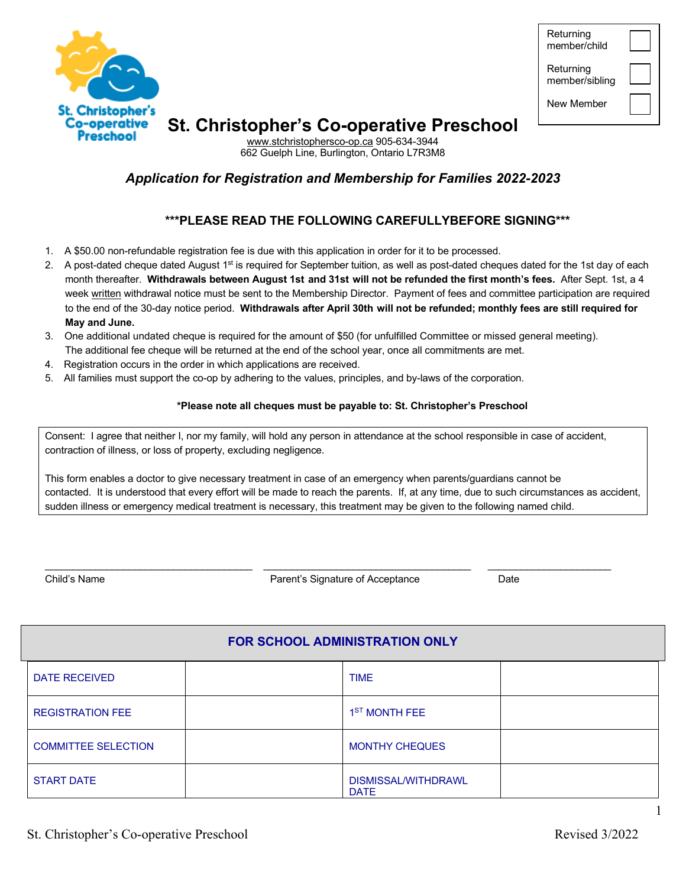

| Returning<br>member/child   |  |
|-----------------------------|--|
| Returning<br>member/sibling |  |
| New Member                  |  |

# **St. Christopher's Co-operative Preschool**

www.stchristophersco-op.ca 905-634-3944 662 Guelph Line, Burlington, Ontario L7R3M8

## *Application for Registration and Membership for Families 2022-2023*

### **\*\*\*PLEASE READ THE FOLLOWING CAREFULLYBEFORE SIGNING\*\*\***

- 1. A \$50.00 non-refundable registration fee is due with this application in order for it to be processed.
- 2. A post-dated cheque dated August 1<sup>st</sup> is required for September tuition, as well as post-dated cheques dated for the 1st day of each month thereafter. **Withdrawals between August 1st and 31st will not be refunded the first month's fees.** After Sept. 1st, a 4 week written withdrawal notice must be sent to the Membership Director. Payment of fees and committee participation are required to the end of the 30-day notice period. **Withdrawals after April 30th will not be refunded; monthly fees are still required for May and June.**
- 3. One additional undated cheque is required for the amount of \$50 (for unfulfilled Committee or missed general meeting). The additional fee cheque will be returned at the end of the school year, once all commitments are met.
- 4. Registration occurs in the order in which applications are received.
- 5. All families must support the co-op by adhering to the values, principles, and by-laws of the corporation.

#### **\*Please note all cheques must be payable to: St. Christopher's Preschool**

Consent: I agree that neither I, nor my family, will hold any person in attendance at the school responsible in case of accident, contraction of illness, or loss of property, excluding negligence.

This form enables a doctor to give necessary treatment in case of an emergency when parents/guardians cannot be contacted. It is understood that every effort will be made to reach the parents. If, at any time, due to such circumstances as accident, sudden illness or emergency medical treatment is necessary, this treatment may be given to the following named child.

Child's Name **Parent's Signature of Acceptance** Date Date

\_\_\_\_\_\_\_\_\_\_\_\_\_\_\_\_\_\_\_\_\_\_\_\_\_\_\_\_\_\_\_\_\_\_\_\_\_ \_\_\_\_\_\_\_\_\_\_\_\_\_\_\_\_\_\_\_\_\_\_\_\_\_\_\_\_\_\_\_\_\_\_\_\_\_ \_\_\_\_\_\_\_\_\_\_\_\_\_\_\_\_\_\_\_\_\_\_

### **FOR SCHOOL ADMINISTRATION ONLY**

| <b>DATE RECEIVED</b>       | <b>TIME</b>                        |  |
|----------------------------|------------------------------------|--|
| <b>REGISTRATION FEE</b>    | 1 <sup>ST</sup> MONTH FEE          |  |
| <b>COMMITTEE SELECTION</b> | <b>MONTHY CHEQUES</b>              |  |
| <b>START DATE</b>          | DISMISSAL/WITHDRAWL<br><b>DATE</b> |  |

1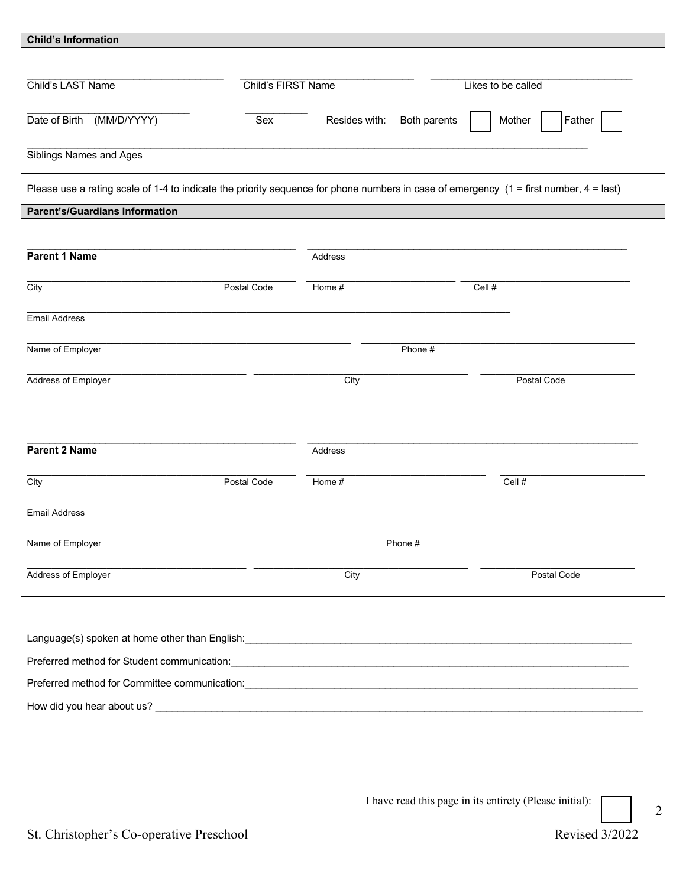| <b>Child's Information</b>   |                    |               |              |                    |
|------------------------------|--------------------|---------------|--------------|--------------------|
| Child's LAST Name            | Child's FIRST Name |               |              | Likes to be called |
| Date of Birth<br>(MM/D/YYYY) | Sex                | Resides with: | Both parents | Father<br>Mother   |
| Siblings Names and Ages      |                    |               |              |                    |

Please use a rating scale of 1-4 to indicate the priority sequence for phone numbers in case of emergency  $(1 =$  first number,  $4 =$  last)

| <b>Parent's/Guardians Information</b> |             |         |         |        |             |
|---------------------------------------|-------------|---------|---------|--------|-------------|
|                                       |             |         |         |        |             |
| <b>Parent 1 Name</b>                  |             | Address |         |        |             |
| City                                  | Postal Code | Home #  |         | Cell # |             |
| <b>Email Address</b>                  |             |         |         |        |             |
| Name of Employer                      |             |         | Phone # |        |             |
| Address of Employer                   |             | City    |         |        | Postal Code |

| <b>Parent 2 Name</b>                           |             | Address |                     |
|------------------------------------------------|-------------|---------|---------------------|
| City                                           | Postal Code | Home #  | $\overline{Cell}$ # |
| <b>Email Address</b>                           |             |         |                     |
| Name of Employer                               |             | Phone # |                     |
| Address of Employer                            |             | City    | Postal Code         |
|                                                |             |         |                     |
| Language(s) spoken at home other than English: |             |         |                     |
| Preferred method for Student communication:    |             |         |                     |
| Preferred method for Committee communication:  |             |         |                     |
| How did you hear about us?                     |             |         |                     |

I have read this page in its entirety (Please initial):

 $\overline{2}$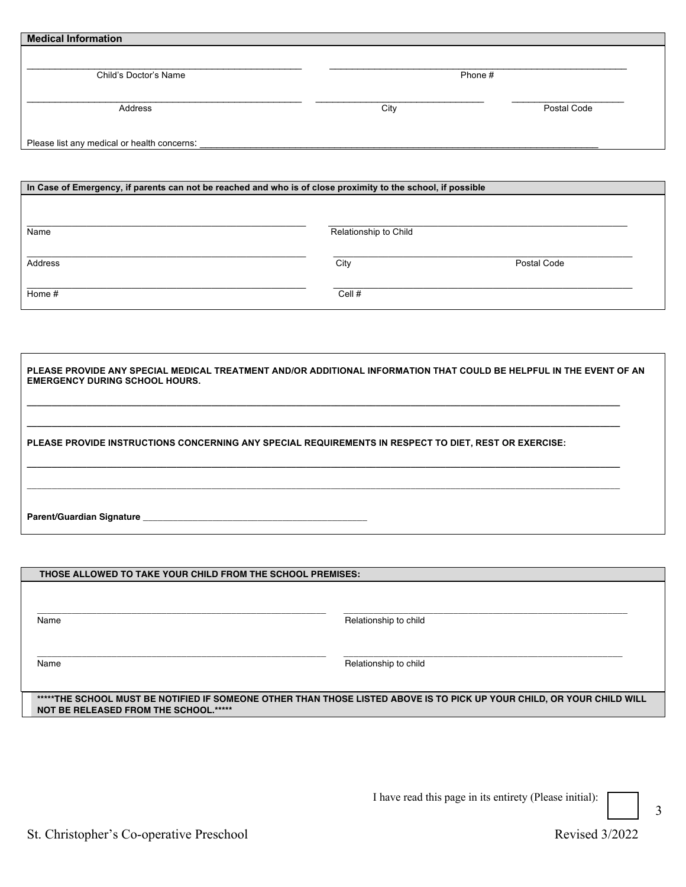| Child's Doctor's Name |      | Phone #     |
|-----------------------|------|-------------|
| Address               | City | Postal Code |

| In Case of Emergency, if parents can not be reached and who is of close proximity to the school, if possible |                       |             |  |
|--------------------------------------------------------------------------------------------------------------|-----------------------|-------------|--|
|                                                                                                              |                       |             |  |
| Name                                                                                                         | Relationship to Child |             |  |
| Address                                                                                                      | City                  | Postal Code |  |
| Home $#$                                                                                                     | Cell #                |             |  |

| PLEASE PROVIDE ANY SPECIAL MEDICAL TREATMENT AND/OR ADDITIONAL INFORMATION THAT COULD BE HELPFUL IN THE EVENT OF AN<br><b>EMERGENCY DURING SCHOOL HOURS.</b> |  |
|--------------------------------------------------------------------------------------------------------------------------------------------------------------|--|
|                                                                                                                                                              |  |
| PLEASE PROVIDE INSTRUCTIONS CONCERNING ANY SPECIAL REQUIREMENTS IN RESPECT TO DIET, REST OR EXERCISE:                                                        |  |
|                                                                                                                                                              |  |
|                                                                                                                                                              |  |
|                                                                                                                                                              |  |

| THOSE ALLOWED TO TAKE YOUR CHILD FROM THE SCHOOL PREMISES: |                                                                                                                        |  |  |  |
|------------------------------------------------------------|------------------------------------------------------------------------------------------------------------------------|--|--|--|
|                                                            |                                                                                                                        |  |  |  |
| Name                                                       | Relationship to child                                                                                                  |  |  |  |
| Name                                                       | Relationship to child                                                                                                  |  |  |  |
|                                                            | *****THE SCHOOL MUST BE NOTIFIED IF SOMEONE OTHER THAN THOSE LISTED ABOVE IS TO PICK UP YOUR CHILD, OR YOUR CHILD WILL |  |  |  |

**NOT BE RELEASED FROM THE SCHOOL.\*\*\*\*\***

I have read this page in its entirety (Please initial):

3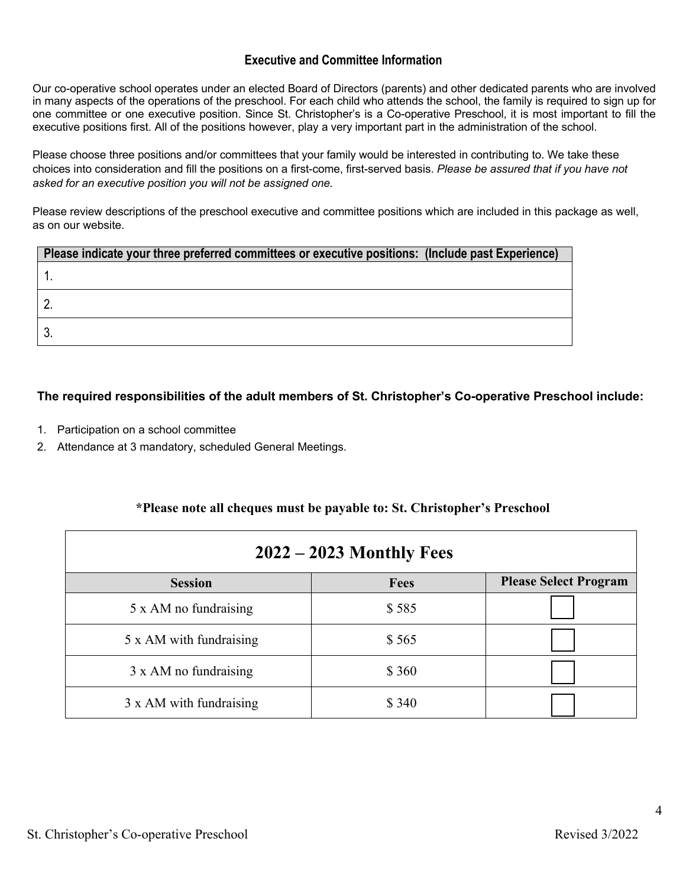## **Executive and Committee Information**

Our co-operative school operates under an elected Board of Directors (parents) and other dedicated parents who are involved in many aspects of the operations of the preschool. For each child who attends the school, the family is required to sign up for one committee or one executive position. Since St. Christopher's is a Co-operative Preschool, it is most important to fill the executive positions first. All of the positions however, play a very important part in the administration of the school.

Please choose three positions and/or committees that your family would be interested in contributing to. We take these choices into consideration and fill the positions on a first-come, first-served basis. *Please be assured that if you have not asked for an executive position you will not be assigned one.*

Please review descriptions of the preschool executive and committee positions which are included in this package as well, as on our website.

| Please indicate your three preferred committees or executive positions: (Include past Experience) |
|---------------------------------------------------------------------------------------------------|
|                                                                                                   |
|                                                                                                   |
|                                                                                                   |

### **The required responsibilities of the adult members of St. Christopher's Co-operative Preschool include:**

- 1. Participation on a school committee
- 2. Attendance at 3 mandatory, scheduled General Meetings.

### **\*Please note all cheques must be payable to: St. Christopher's Preschool**

| $2022 - 2023$ Monthly Fees |             |                              |  |  |
|----------------------------|-------------|------------------------------|--|--|
| <b>Session</b>             | <b>Fees</b> | <b>Please Select Program</b> |  |  |
| 5 x AM no fundraising      | \$585       |                              |  |  |
| 5 x AM with fundraising    | \$565       |                              |  |  |
| 3 x AM no fundraising      | \$360       |                              |  |  |
| 3 x AM with fundraising    | \$340       |                              |  |  |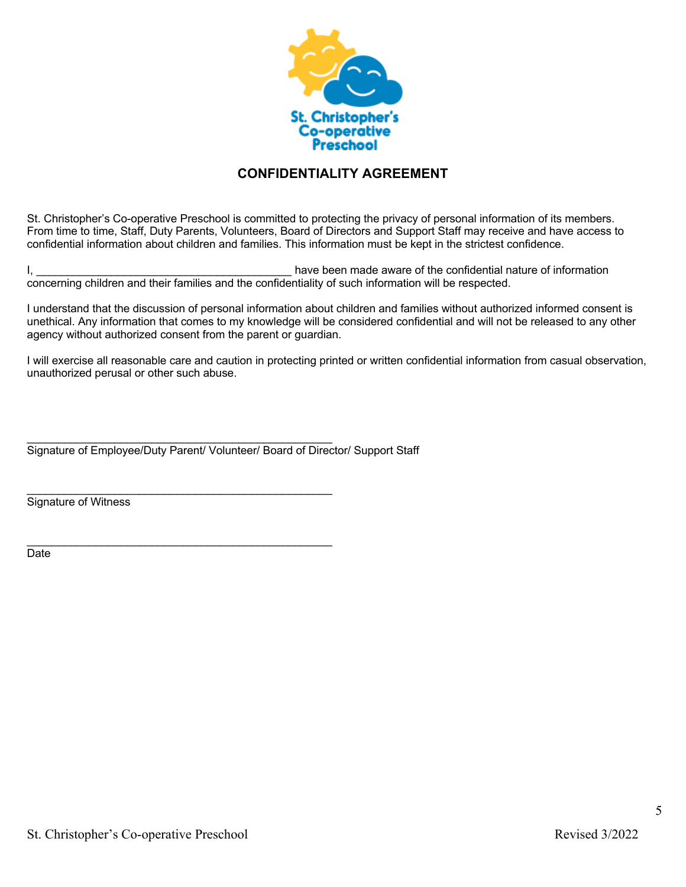

## **CONFIDENTIALITY AGREEMENT**

St. Christopher's Co-operative Preschool is committed to protecting the privacy of personal information of its members. From time to time, Staff, Duty Parents, Volunteers, Board of Directors and Support Staff may receive and have access to confidential information about children and families. This information must be kept in the strictest confidence.

I, the confidential nature of information  $\Box$  have been made aware of the confidential nature of information concerning children and their families and the confidentiality of such information will be respected.

I understand that the discussion of personal information about children and families without authorized informed consent is unethical. Any information that comes to my knowledge will be considered confidential and will not be released to any other agency without authorized consent from the parent or guardian.

I will exercise all reasonable care and caution in protecting printed or written confidential information from casual observation, unauthorized perusal or other such abuse.

Signature of Employee/Duty Parent/ Volunteer/ Board of Director/ Support Staff

\_\_\_\_\_\_\_\_\_\_\_\_\_\_\_\_\_\_\_\_\_\_\_\_\_\_\_\_\_\_\_\_\_\_\_\_\_\_\_\_\_\_\_\_\_\_\_\_\_

\_\_\_\_\_\_\_\_\_\_\_\_\_\_\_\_\_\_\_\_\_\_\_\_\_\_\_\_\_\_\_\_\_\_\_\_\_\_\_\_\_\_\_\_\_\_\_\_\_

\_\_\_\_\_\_\_\_\_\_\_\_\_\_\_\_\_\_\_\_\_\_\_\_\_\_\_\_\_\_\_\_\_\_\_\_\_\_\_\_\_\_\_\_\_\_\_\_\_ Signature of Witness

Date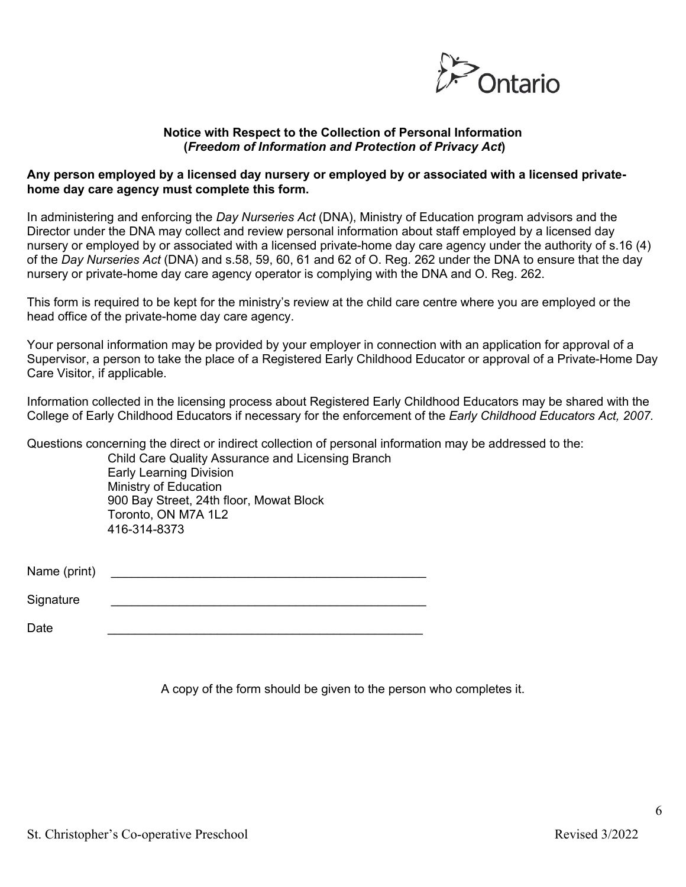

#### **Notice with Respect to the Collection of Personal Information (***Freedom of Information and Protection of Privacy Act***)**

#### **Any person employed by a licensed day nursery or employed by or associated with a licensed privatehome day care agency must complete this form.**

In administering and enforcing the *Day Nurseries Act* (DNA), Ministry of Education program advisors and the Director under the DNA may collect and review personal information about staff employed by a licensed day nursery or employed by or associated with a licensed private-home day care agency under the authority of s.16 (4) of the *Day Nurseries Act* (DNA) and s.58, 59, 60, 61 and 62 of O. Reg. 262 under the DNA to ensure that the day nursery or private-home day care agency operator is complying with the DNA and O. Reg. 262.

This form is required to be kept for the ministry's review at the child care centre where you are employed or the head office of the private-home day care agency.

Your personal information may be provided by your employer in connection with an application for approval of a Supervisor, a person to take the place of a Registered Early Childhood Educator or approval of a Private-Home Day Care Visitor, if applicable.

Information collected in the licensing process about Registered Early Childhood Educators may be shared with the College of Early Childhood Educators if necessary for the enforcement of the *Early Childhood Educators Act, 2007.*

Questions concerning the direct or indirect collection of personal information may be addressed to the:

Child Care Quality Assurance and Licensing Branch Early Learning Division Ministry of Education 900 Bay Street, 24th floor, Mowat Block Toronto, ON M7A 1L2 416-314-8373

Name (print) \_\_\_\_\_\_\_\_\_\_\_\_\_\_\_\_\_\_\_\_\_\_\_\_\_\_\_\_\_\_\_\_\_\_\_\_\_\_\_\_\_\_\_\_\_\_

Signature

Date  $\qquad \qquad \overline{\qquad \qquad }$ 

A copy of the form should be given to the person who completes it.

6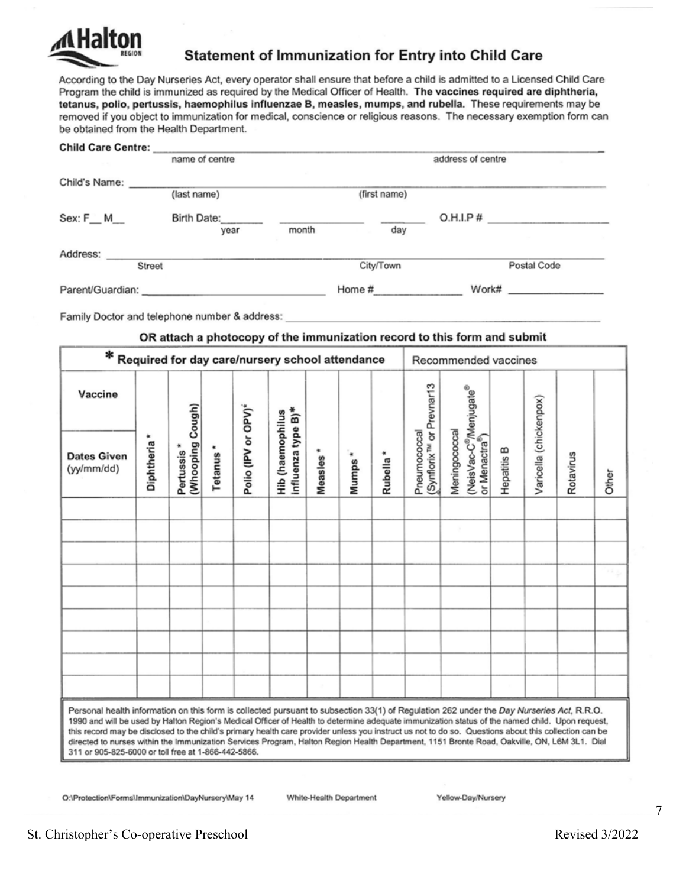

# Statement of Immunization for Entry into Child Care

According to the Day Nurseries Act, every operator shall ensure that before a child is admitted to a Licensed Child Care Program the child is immunized as required by the Medical Officer of Health. The vaccines required are diphtheria, tetanus, polio, pertussis, haemophilus influenzae B, measles, mumps, and rubella. These requirements may be removed if you object to immunization for medical, conscience or religious reasons. The necessary exemption form can be obtained from the Health Department.

| <b>Child Care Centre:</b> |             |                   |              |             |             |
|---------------------------|-------------|-------------------|--------------|-------------|-------------|
| name of centre            |             | address of centre |              |             |             |
| Child's Name:             |             |                   |              |             |             |
|                           | (last name) |                   | (first name) |             |             |
| Sex: F_ M_                | Birth Date: |                   |              | $O.H.I.P$ # |             |
|                           | year        | month             | day          |             |             |
| Address:                  |             |                   |              |             |             |
| <b>Street</b>             |             |                   | City/Town    |             | Postal Code |
| Parent/Guardian:          |             |                   | Home #       | Work#       |             |

Family Doctor and telephone number & address:

#### OR attach a photocopy of the immunization record to this form and submit

| *<br>Required for day care/nursery school attendance                                                                                                                                                                                                                                                                                                                                                                                                                                                                                                                                                                                                     |            |                               |         |                     |                                                           |              |            | Recommended vaccines |                                                      |                                                                                  |            |                        |           |       |
|----------------------------------------------------------------------------------------------------------------------------------------------------------------------------------------------------------------------------------------------------------------------------------------------------------------------------------------------------------------------------------------------------------------------------------------------------------------------------------------------------------------------------------------------------------------------------------------------------------------------------------------------------------|------------|-------------------------------|---------|---------------------|-----------------------------------------------------------|--------------|------------|----------------------|------------------------------------------------------|----------------------------------------------------------------------------------|------------|------------------------|-----------|-------|
| Vaccine<br><b>Dates Given</b><br>(yy/mm/dd)                                                                                                                                                                                                                                                                                                                                                                                                                                                                                                                                                                                                              | Diphtheria | (Whooping Cough)<br>Pertussis | Tetanus | Polio (IPV or OPV)* | influenza type B) <sup>∗</sup><br><b>Hib (haemophilus</b> | ۰<br>Measles | ¥<br>Mumps | ۰<br>Rubella         | (Synflorix <sup>™</sup> or Prevnar13<br>Pneumococcal | (NeisVac-C <sup>®</sup> /Menjugate®<br>Meningococcal<br>or Menactra <sup>®</sup> | Hepatits B | Varicella (chickenpox) | Rotavirus | Other |
|                                                                                                                                                                                                                                                                                                                                                                                                                                                                                                                                                                                                                                                          |            |                               |         |                     |                                                           |              |            |                      |                                                      |                                                                                  |            |                        |           |       |
|                                                                                                                                                                                                                                                                                                                                                                                                                                                                                                                                                                                                                                                          |            |                               |         |                     |                                                           |              |            |                      |                                                      |                                                                                  |            |                        |           |       |
|                                                                                                                                                                                                                                                                                                                                                                                                                                                                                                                                                                                                                                                          |            |                               |         |                     |                                                           |              |            |                      |                                                      |                                                                                  |            |                        |           |       |
|                                                                                                                                                                                                                                                                                                                                                                                                                                                                                                                                                                                                                                                          |            |                               |         |                     |                                                           |              |            |                      |                                                      |                                                                                  |            |                        |           |       |
|                                                                                                                                                                                                                                                                                                                                                                                                                                                                                                                                                                                                                                                          |            |                               |         |                     |                                                           |              |            |                      |                                                      |                                                                                  |            |                        |           |       |
|                                                                                                                                                                                                                                                                                                                                                                                                                                                                                                                                                                                                                                                          |            |                               |         |                     |                                                           |              |            |                      |                                                      |                                                                                  |            |                        |           |       |
|                                                                                                                                                                                                                                                                                                                                                                                                                                                                                                                                                                                                                                                          |            |                               |         |                     |                                                           |              |            |                      |                                                      |                                                                                  |            |                        |           |       |
| Personal health information on this form is collected pursuant to subsection 33(1) of Regulation 262 under the Day Nurseries Act, R.R.O.<br>1990 and will be used by Halton Region's Medical Officer of Health to determine adequate immunization status of the named child. Upon request,<br>this record may be disclosed to the child's primary health care provider unless you instruct us not to do so. Questions about this collection can be<br>directed to nurses within the Immunization Services Program, Halton Region Health Department, 1151 Bronte Road, Oakville, ON, L6M 3L1. Dial<br>311 or 905-825-6000 or toll free at 1-866-442-5866. |            |                               |         |                     |                                                           |              |            |                      |                                                      |                                                                                  |            |                        |           |       |

O:\Protection\Forms\Immunization\DayNursery\May 14

White-Health Department

Yellow-Day/Nursery